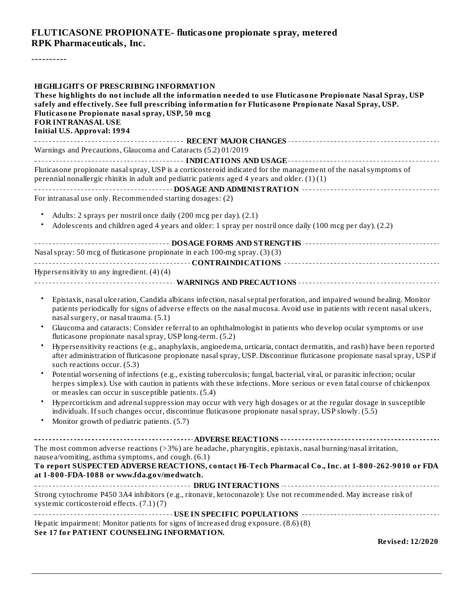## **FLUTICASONE PROPIONATE- fluticasone propionate spray, metered RPK Pharmaceuticals, Inc.**

----------

| HIGHLIGHTS OF PRESCRIBING INFORMATION<br>These highlights do not include all the information needed to use Fluticasone Propionate Nasal Spray, USP<br>safely and effectively. See full prescribing information for Fluticasone Propionate Nasal Spray, USP.<br>Fluticasone Propionate nasal spray, USP, 50 mcg<br><b>FOR INTRANASAL USE</b><br><b>Initial U.S. Approval: 1994</b> |
|-----------------------------------------------------------------------------------------------------------------------------------------------------------------------------------------------------------------------------------------------------------------------------------------------------------------------------------------------------------------------------------|
| Warnings and Precautions, Glaucoma and Cataracts (5.2) 01/2019                                                                                                                                                                                                                                                                                                                    |
|                                                                                                                                                                                                                                                                                                                                                                                   |
| Fluticasone propionate nasal spray, USP is a corticosteroid indicated for the management of the nasal symptoms of<br>perennial nonallergic rhinitis in adult and pediatric patients aged 4 years and older. $(1)(1)$                                                                                                                                                              |
| For intranasal use only. Recommended starting dosages: (2)                                                                                                                                                                                                                                                                                                                        |
| Adults: 2 sprays per nostril once daily (200 mcg per day). (2.1)                                                                                                                                                                                                                                                                                                                  |
| Adolescents and children aged 4 years and older: 1 spray per nostril once daily (100 mcg per day). (2.2)                                                                                                                                                                                                                                                                          |
|                                                                                                                                                                                                                                                                                                                                                                                   |
| Nasal spray: 50 mcg of fluticasone propionate in each 100-mg spray. (3)(3)                                                                                                                                                                                                                                                                                                        |
|                                                                                                                                                                                                                                                                                                                                                                                   |
| Hypersensitivity to any ingredient. $(4)(4)$                                                                                                                                                                                                                                                                                                                                      |
|                                                                                                                                                                                                                                                                                                                                                                                   |
| Epistaxis, nasal ulceration, Candida albicans infection, nasal septal perforation, and impaired wound healing. Monitor<br>patients periodically for signs of adverse effects on the nasal mucosa. Avoid use in patients with recent nasal ulcers,<br>nasal surgery, or nasal trauma. (5.1)                                                                                        |
| Glaucoma and cataracts: Consider referral to an ophthalmologist in patients who develop ocular symptoms or use<br>fluticasone propionate nasal spray, USP long-term. (5.2)                                                                                                                                                                                                        |
| Hypersensitivity reactions (e.g., anaphylaxis, angioedema, urticaria, contact dermatitis, and rash) have been reported<br>after administration of fluticasone propionate nasal spray, USP. Discontinue fluticasone propionate nasal spray, USP if<br>such reactions occur. (5.3)                                                                                                  |
| Potential worsening of infections (e.g., existing tuberculosis; fungal, bacterial, viral, or parasitic infection; ocular<br>herpes simplex). Use with caution in patients with these infections. More serious or even fatal course of chickenpox<br>or measles can occur in susceptible patients. (5.4)                                                                           |
| Hypercorticism and adrenal suppression may occur with very high dosages or at the regular dosage in susceptible<br>individuals. If such changes occur, discontinue fluticasone propionate nasal spray, USP slowly. (5.5)<br>Monitor growth of pediatric patients. (5.7)                                                                                                           |
|                                                                                                                                                                                                                                                                                                                                                                                   |
| The most common adverse reactions (>3%) are headache, pharyngitis, epistaxis, nasal burning/nasal irritation,<br>nausea/vomiting, asthma symptoms, and cough. (6.1)<br>To report SUSPECTED ADVERSE REACTIONS, contact Hi-Tech Pharmacal Co., Inc. at 1-800-262-9010 or FDA                                                                                                        |
| at 1-800-FDA-1088 or www.fda.gov/medwatch.                                                                                                                                                                                                                                                                                                                                        |
| Strong cytochrome P450 3A4 inhibitors (e.g., ritonavir, ketoconazole): Use not recommended. May increase risk of<br>systemic corticosteroid effects. (7.1)(7)                                                                                                                                                                                                                     |
|                                                                                                                                                                                                                                                                                                                                                                                   |
| Hepatic impairment: Monitor patients for signs of increased drug exposure. (8.6) (8)<br>See 17 for PATIENT COUNSELING INFORMATION.                                                                                                                                                                                                                                                |
| <b>Revised: 12/2020</b>                                                                                                                                                                                                                                                                                                                                                           |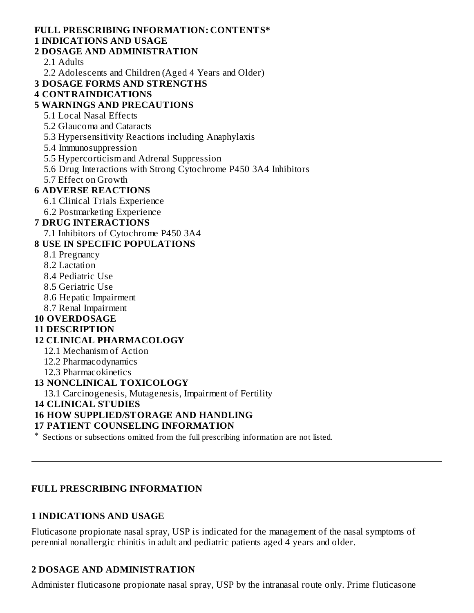#### **FULL PRESCRIBING INFORMATION: CONTENTS\* 1 INDICATIONS AND USAGE 2 DOSAGE AND ADMINISTRATION**

2.1 Adults

2.2 Adolescents and Children (Aged 4 Years and Older)

**3 DOSAGE FORMS AND STRENGTHS**

#### **4 CONTRAINDICATIONS**

#### **5 WARNINGS AND PRECAUTIONS**

5.1 Local Nasal Effects

5.2 Glaucoma and Cataracts

5.3 Hypersensitivity Reactions including Anaphylaxis

5.4 Immunosuppression

5.5 Hypercorticism and Adrenal Suppression

5.6 Drug Interactions with Strong Cytochrome P450 3A4 Inhibitors

5.7 Effect on Growth

#### **6 ADVERSE REACTIONS**

6.1 Clinical Trials Experience

6.2 Postmarketing Experience

#### **7 DRUG INTERACTIONS**

7.1 Inhibitors of Cytochrome P450 3A4

#### **8 USE IN SPECIFIC POPULATIONS**

- 8.1 Pregnancy
- 8.2 Lactation
- 8.4 Pediatric Use
- 8.5 Geriatric Use
- 8.6 Hepatic Impairment
- 8.7 Renal Impairment

## **10 OVERDOSAGE**

#### **11 DESCRIPTION**

#### **12 CLINICAL PHARMACOLOGY**

12.1 Mechanism of Action

12.2 Pharmacodynamics

12.3 Pharmacokinetics

#### **13 NONCLINICAL TOXICOLOGY**

13.1 Carcinogenesis, Mutagenesis, Impairment of Fertility

### **14 CLINICAL STUDIES**

#### **16 HOW SUPPLIED/STORAGE AND HANDLING**

#### **17 PATIENT COUNSELING INFORMATION**

\* Sections or subsections omitted from the full prescribing information are not listed.

#### **FULL PRESCRIBING INFORMATION**

#### **1 INDICATIONS AND USAGE**

Fluticasone propionate nasal spray, USP is indicated for the management of the nasal symptoms of perennial nonallergic rhinitis in adult and pediatric patients aged 4 years and older.

#### **2 DOSAGE AND ADMINISTRATION**

Administer fluticasone propionate nasal spray, USP by the intranasal route only. Prime fluticasone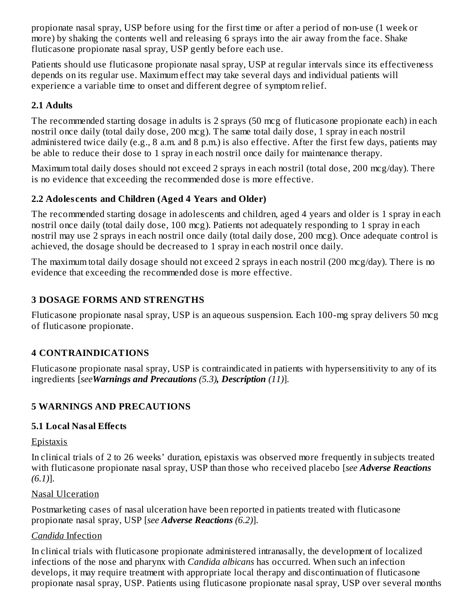propionate nasal spray, USP before using for the first time or after a period of non-use (1 week or more) by shaking the contents well and releasing 6 sprays into the air away from the face. Shake fluticasone propionate nasal spray, USP gently before each use.

Patients should use fluticasone propionate nasal spray, USP at regular intervals since its effectiveness depends on its regular use. Maximum effect may take several days and individual patients will experience a variable time to onset and different degree of symptom relief.

## **2.1 Adults**

The recommended starting dosage in adults is 2 sprays (50 mcg of fluticasone propionate each) in each nostril once daily (total daily dose, 200 mcg). The same total daily dose, 1 spray in each nostril administered twice daily (e.g., 8 a.m. and 8 p.m.) is also effective. After the first few days, patients may be able to reduce their dose to 1 spray in each nostril once daily for maintenance therapy.

Maximum total daily doses should not exceed 2 sprays in each nostril (total dose, 200 mcg/day). There is no evidence that exceeding the recommended dose is more effective.

## **2.2 Adoles cents and Children (Aged 4 Years and Older)**

The recommended starting dosage in adolescents and children, aged 4 years and older is 1 spray in each nostril once daily (total daily dose, 100 mcg). Patients not adequately responding to 1 spray in each nostril may use 2 sprays in each nostril once daily (total daily dose, 200 mcg). Once adequate control is achieved, the dosage should be decreased to 1 spray in each nostril once daily.

The maximum total daily dosage should not exceed 2 sprays in each nostril (200 mcg/day). There is no evidence that exceeding the recommended dose is more effective.

### **3 DOSAGE FORMS AND STRENGTHS**

Fluticasone propionate nasal spray, USP is an aqueous suspension. Each 100-mg spray delivers 50 mcg of fluticasone propionate.

## **4 CONTRAINDICATIONS**

Fluticasone propionate nasal spray, USP is contraindicated in patients with hypersensitivity to any of its ingredients [*seeWarnings and Precautions (5.3), Description (11)*].

## **5 WARNINGS AND PRECAUTIONS**

#### **5.1 Local Nasal Effects**

#### Epistaxis

In clinical trials of 2 to 26 weeks' duration, epistaxis was observed more frequently in subjects treated with fluticasone propionate nasal spray, USP than those who received placebo [*see Adverse Reactions (6.1)*].

#### Nasal Ulceration

Postmarketing cases of nasal ulceration have been reported in patients treated with fluticasone propionate nasal spray, USP [*see Adverse Reactions (6.2)*].

#### *Candida* Infection

In clinical trials with fluticasone propionate administered intranasally, the development of localized infections of the nose and pharynx with *Candida albicans* has occurred. When such an infection develops, it may require treatment with appropriate local therapy and discontinuation of fluticasone propionate nasal spray, USP. Patients using fluticasone propionate nasal spray, USP over several months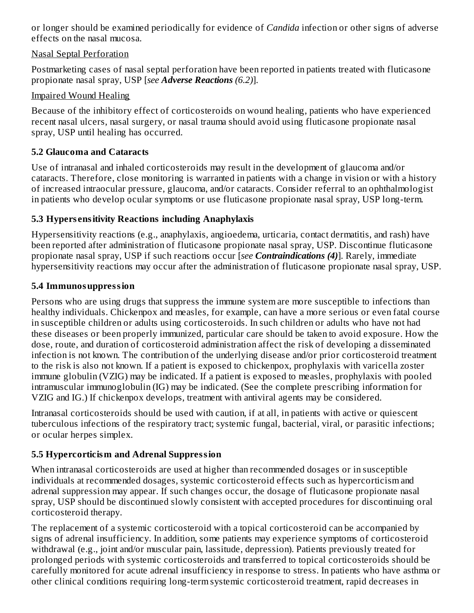or longer should be examined periodically for evidence of *Candida* infection or other signs of adverse effects on the nasal mucosa.

## Nasal Septal Perforation

Postmarketing cases of nasal septal perforation have been reported in patients treated with fluticasone propionate nasal spray, USP [*see Adverse Reactions (6.2)*].

## Impaired Wound Healing

Because of the inhibitory effect of corticosteroids on wound healing, patients who have experienced recent nasal ulcers, nasal surgery, or nasal trauma should avoid using fluticasone propionate nasal spray, USP until healing has occurred.

## **5.2 Glaucoma and Cataracts**

Use of intranasal and inhaled corticosteroids may result in the development of glaucoma and/or cataracts. Therefore, close monitoring is warranted in patients with a change in vision or with a history of increased intraocular pressure, glaucoma, and/or cataracts. Consider referral to an ophthalmologist in patients who develop ocular symptoms or use fluticasone propionate nasal spray, USP long-term.

## **5.3 Hypers ensitivity Reactions including Anaphylaxis**

Hypersensitivity reactions (e.g., anaphylaxis, angioedema, urticaria, contact dermatitis, and rash) have been reported after administration of fluticasone propionate nasal spray, USP. Discontinue fluticasone propionate nasal spray, USP if such reactions occur [*see Contraindications (4)*]. Rarely, immediate hypersensitivity reactions may occur after the administration of fluticasone propionate nasal spray, USP.

## **5.4 Immunosuppression**

Persons who are using drugs that suppress the immune system are more susceptible to infections than healthy individuals. Chickenpox and measles, for example, can have a more serious or even fatal course in susceptible children or adults using corticosteroids. In such children or adults who have not had these diseases or been properly immunized, particular care should be taken to avoid exposure. How the dose, route, and duration of corticosteroid administration affect the risk of developing a disseminated infection is not known. The contribution of the underlying disease and/or prior corticosteroid treatment to the risk is also not known. If a patient is exposed to chickenpox, prophylaxis with varicella zoster immune globulin (VZIG) may be indicated. If a patient is exposed to measles, prophylaxis with pooled intramuscular immunoglobulin (IG) may be indicated. (See the complete prescribing information for VZIG and IG.) If chickenpox develops, treatment with antiviral agents may be considered.

Intranasal corticosteroids should be used with caution, if at all, in patients with active or quiescent tuberculous infections of the respiratory tract; systemic fungal, bacterial, viral, or parasitic infections; or ocular herpes simplex.

## **5.5 Hypercorticism and Adrenal Suppression**

When intranasal corticosteroids are used at higher than recommended dosages or in susceptible individuals at recommended dosages, systemic corticosteroid effects such as hypercorticism and adrenal suppression may appear. If such changes occur, the dosage of fluticasone propionate nasal spray, USP should be discontinued slowly consistent with accepted procedures for discontinuing oral corticosteroid therapy.

The replacement of a systemic corticosteroid with a topical corticosteroid can be accompanied by signs of adrenal insufficiency. In addition, some patients may experience symptoms of corticosteroid withdrawal (e.g., joint and/or muscular pain, lassitude, depression). Patients previously treated for prolonged periods with systemic corticosteroids and transferred to topical corticosteroids should be carefully monitored for acute adrenal insufficiency in response to stress. In patients who have asthma or other clinical conditions requiring long-term systemic corticosteroid treatment, rapid decreases in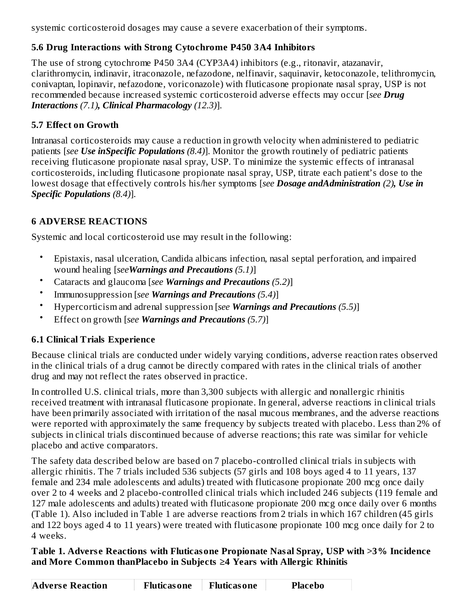systemic corticosteroid dosages may cause a severe exacerbation of their symptoms.

## **5.6 Drug Interactions with Strong Cytochrome P450 3A4 Inhibitors**

The use of strong cytochrome P450 3A4 (CYP3A4) inhibitors (e.g., ritonavir, atazanavir, clarithromycin, indinavir, itraconazole, nefazodone, nelfinavir, saquinavir, ketoconazole, telithromycin, conivaptan, lopinavir, nefazodone, voriconazole) with fluticasone propionate nasal spray, USP is not recommended because increased systemic corticosteroid adverse effects may occur [*see Drug Interactions (7.1), Clinical Pharmacology (12.3)*].

## **5.7 Effect on Growth**

Intranasal corticosteroids may cause a reduction in growth velocity when administered to pediatric patients [*see Use inSpecific Populations (8.4)*]. Monitor the growth routinely of pediatric patients receiving fluticasone propionate nasal spray, USP. To minimize the systemic effects of intranasal corticosteroids, including fluticasone propionate nasal spray, USP, titrate each patient's dose to the lowest dosage that effectively controls his/her symptoms [*see Dosage andAdministration (2), Use in Specific Populations (8.4)*].

## **6 ADVERSE REACTIONS**

Systemic and local corticosteroid use may result in the following:

- Epistaxis, nasal ulceration, Candida albicans infection, nasal septal perforation, and impaired wound healing [*seeWarnings and Precautions (5.1)*]
- Cataracts and glaucoma [*see Warnings and Precautions (5.2)*]
- Immunosuppression [*see Warnings and Precautions (5.4)*]
- Hypercorticism and adrenal suppression [*see Warnings and Precautions (5.5)*]
- Effect on growth [*see Warnings and Precautions (5.7)*]

## **6.1 Clinical Trials Experience**

Because clinical trials are conducted under widely varying conditions, adverse reaction rates observed in the clinical trials of a drug cannot be directly compared with rates in the clinical trials of another drug and may not reflect the rates observed in practice.

In controlled U.S. clinical trials, more than 3,300 subjects with allergic and nonallergic rhinitis received treatment with intranasal fluticasone propionate. In general, adverse reactions in clinical trials have been primarily associated with irritation of the nasal mucous membranes, and the adverse reactions were reported with approximately the same frequency by subjects treated with placebo. Less than 2% of subjects in clinical trials discontinued because of adverse reactions; this rate was similar for vehicle placebo and active comparators.

The safety data described below are based on 7 placebo-controlled clinical trials in subjects with allergic rhinitis. The 7 trials included 536 subjects (57 girls and 108 boys aged 4 to 11 years, 137 female and 234 male adolescents and adults) treated with fluticasone propionate 200 mcg once daily over 2 to 4 weeks and 2 placebo-controlled clinical trials which included 246 subjects (119 female and 127 male adolescents and adults) treated with fluticasone propionate 200 mcg once daily over 6 months (Table 1). Also included in Table 1 are adverse reactions from 2 trials in which 167 children (45 girls and 122 boys aged 4 to 11 years) were treated with fluticasone propionate 100 mcg once daily for 2 to 4 weeks.

## **Table 1. Advers e Reactions with Fluticasone Propionate Nasal Spray, USP with >3% Incidence and More Common thanPlacebo in Subjects ≥4 Years with Allergic Rhinitis**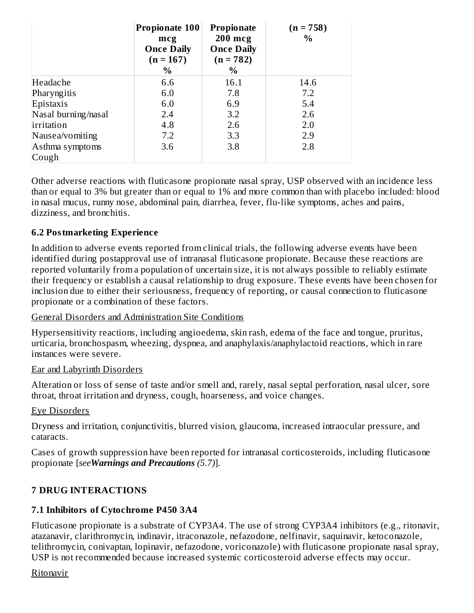|                          | Propionate 100<br>mcg<br><b>Once Daily</b><br>$(n = 167)$<br>$\%$ | Propionate<br>$200$ mcg<br><b>Once Daily</b><br>$(n = 782)$<br>$\%$ | $(n = 758)$<br>$\frac{0}{0}$ |
|--------------------------|-------------------------------------------------------------------|---------------------------------------------------------------------|------------------------------|
| Headache                 | 6.6                                                               | 16.1                                                                | 14.6                         |
| Pharyngitis              | 6.0                                                               | 7.8                                                                 | 7.2                          |
| Epistaxis                | 6.0                                                               | 6.9                                                                 | 5.4                          |
| Nasal burning/nasal      | 2.4                                                               | 3.2                                                                 | 2.6                          |
| <i>irritation</i>        | 4.8                                                               | 2.6                                                                 | 2.0                          |
| Nausea/vomiting          | 7.2                                                               | 3.3                                                                 | 2.9                          |
| Asthma symptoms<br>Cough | 3.6                                                               | 3.8                                                                 | 2.8                          |

Other adverse reactions with fluticasone propionate nasal spray, USP observed with an incidence less than or equal to 3% but greater than or equal to 1% and more common than with placebo included: blood in nasal mucus, runny nose, abdominal pain, diarrhea, fever, flu-like symptoms, aches and pains, dizziness, and bronchitis.

### **6.2 Postmarketing Experience**

In addition to adverse events reported from clinical trials, the following adverse events have been identified during postapproval use of intranasal fluticasone propionate. Because these reactions are reported voluntarily from a population of uncertain size, it is not always possible to reliably estimate their frequency or establish a causal relationship to drug exposure. These events have been chosen for inclusion due to either their seriousness, frequency of reporting, or causal connection to fluticasone propionate or a combination of these factors.

General Disorders and Administration Site Conditions

Hypersensitivity reactions, including angioedema, skin rash, edema of the face and tongue, pruritus, urticaria, bronchospasm, wheezing, dyspnea, and anaphylaxis/anaphylactoid reactions, which in rare instances were severe.

#### Ear and Labyrinth Disorders

Alteration or loss of sense of taste and/or smell and, rarely, nasal septal perforation, nasal ulcer, sore throat, throat irritation and dryness, cough, hoarseness, and voice changes.

Eye Disorders

Dryness and irritation, conjunctivitis, blurred vision, glaucoma, increased intraocular pressure, and cataracts.

Cases of growth suppression have been reported for intranasal corticosteroids, including fluticasone propionate [*seeWarnings and Precautions (5.7)*].

## **7 DRUG INTERACTIONS**

## **7.1 Inhibitors of Cytochrome P450 3A4**

Fluticasone propionate is a substrate of CYP3A4. The use of strong CYP3A4 inhibitors (e.g., ritonavir, atazanavir, clarithromycin, indinavir, itraconazole, nefazodone, nelfinavir, saquinavir, ketoconazole, telithromycin, conivaptan, lopinavir, nefazodone, voriconazole) with fluticasone propionate nasal spray, USP is not recommended because increased systemic corticosteroid adverse effects may occur.

## Ritonavir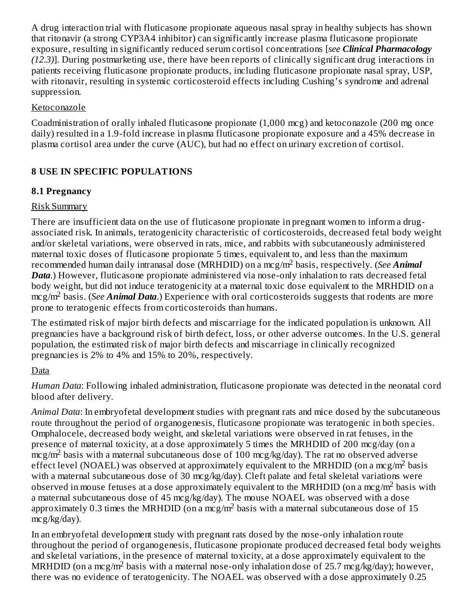A drug interaction trial with fluticasone propionate aqueous nasal spray in healthy subjects has shown that ritonavir (a strong CYP3A4 inhibitor) can significantly increase plasma fluticasone propionate exposure, resulting in significantly reduced serum cortisol concentrations [*see Clinical Pharmacology (12.3)*]. During postmarketing use, there have been reports of clinically significant drug interactions in patients receiving fluticasone propionate products, including fluticasone propionate nasal spray, USP, with ritonavir, resulting in systemic corticosteroid effects including Cushing's syndrome and adrenal suppression.

## Ketoconazole

Coadministration of orally inhaled fluticasone propionate (1,000 mcg) and ketoconazole (200 mg once daily) resulted in a 1.9-fold increase in plasma fluticasone propionate exposure and a 45% decrease in plasma cortisol area under the curve (AUC), but had no effect on urinary excretion of cortisol.

## **8 USE IN SPECIFIC POPULATIONS**

## **8.1 Pregnancy**

## Risk Summary

There are insufficient data on the use of fluticasone propionate in pregnant women to inform a drugassociated risk. In animals, teratogenicity characteristic of corticosteroids, decreased fetal body weight and/or skeletal variations, were observed in rats, mice, and rabbits with subcutaneously administered maternal toxic doses of fluticasone propionate 5 times, equivalent to, and less than the maximum recommended human daily intranasal dose (MRHDID) on a mcg/m<sup>2</sup> basis, respectively. (*See Animal* **Data**.) However, fluticasone propionate administered via nose-only inhalation to rats decreased fetal body weight, but did not induce teratogenicity at a maternal toxic dose equivalent to the MRHDID on a mcg/m<sup>2</sup> basis. (*See Animal Data*.) Experience with oral corticosteroids suggests that rodents are more prone to teratogenic effects from corticosteroids than humans.

The estimated risk of major birth defects and miscarriage for the indicated population is unknown. All pregnancies have a background risk of birth defect, loss, or other adverse outcomes. In the U.S. general population, the estimated risk of major birth defects and miscarriage in clinically recognized pregnancies is 2% to 4% and 15% to 20%, respectively.

## Data

*Human Data*: Following inhaled administration, fluticasone propionate was detected in the neonatal cord blood after delivery.

*Animal Data*: In embryofetal development studies with pregnant rats and mice dosed by the subcutaneous route throughout the period of organogenesis, fluticasone propionate was teratogenic in both species. Omphalocele, decreased body weight, and skeletal variations were observed in rat fetuses, in the presence of maternal toxicity, at a dose approximately 5 times the MRHDID of 200 mcg/day (on a  $\frac{1}{2}$  basis with a maternal subcutaneous dose of 100 mcg/kg/day). The rat no observed adverse effect level (NOAEL) was observed at approximately equivalent to the MRHDID (on a mcg/m<sup>2</sup> basis with a maternal subcutaneous dose of 30 mcg/kg/day). Cleft palate and fetal skeletal variations were observed in mouse fetuses at a dose approximately equivalent to the MRHDID (on a mcg/m<sup>2</sup> basis with a maternal subcutaneous dose of 45 mcg/kg/day). The mouse NOAEL was observed with a dose approximately 0.3 times the MRHDID (on a mcg/m<sup>2</sup> basis with a maternal subcutaneous dose of 15 mcg/kg/day).

In an embryofetal development study with pregnant rats dosed by the nose-only inhalation route throughout the period of organogenesis, fluticasone propionate produced decreased fetal body weights and skeletal variations, in the presence of maternal toxicity, at a dose approximately equivalent to the MRHDID (on a mcg/m<sup>2</sup> basis with a maternal nose-only inhalation dose of 25.7 mcg/kg/day); however, there was no evidence of teratogenicity. The NOAEL was observed with a dose approximately 0.25  $\overline{a}$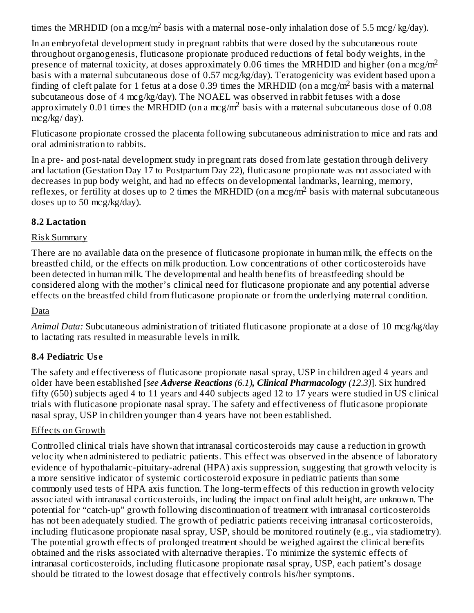times the MRHDID (on a mcg/m<sup>2</sup> basis with a maternal nose-only inhalation dose of 5.5 mcg/ kg/day).

In an embryofetal development study in pregnant rabbits that were dosed by the subcutaneous route throughout organogenesis, fluticasone propionate produced reductions of fetal body weights, in the presence of maternal toxicity, at doses approximately 0.06 times the MRHDID and higher (on a mcg/m<sup>2</sup> basis with a maternal subcutaneous dose of 0.57 mcg/kg/day). Teratogenicity was evident based upon a finding of cleft palate for 1 fetus at a dose 0.39 times the MRHDID (on a mcg/m<sup>2</sup> basis with a maternal subcutaneous dose of 4 mcg/kg/day). The NOAEL was observed in rabbit fetuses with a dose approximately 0.01 times the MRHDID (on a mcg/m<sup>2</sup> basis with a maternal subcutaneous dose of 0.08 mcg/kg/ day).

Fluticasone propionate crossed the placenta following subcutaneous administration to mice and rats and oral administration to rabbits.

In a pre- and post-natal development study in pregnant rats dosed from late gestation through delivery and lactation (Gestation Day 17 to Postpartum Day 22), fluticasone propionate was not associated with decreases in pup body weight, and had no effects on developmental landmarks, learning, memory, reflexes, or fertility at doses up to 2 times the MRHDID (on a mcg/m<sup>2</sup> basis with maternal subcutaneous doses up to 50 mcg/kg/day).

### **8.2 Lactation**

#### Risk Summary

There are no available data on the presence of fluticasone propionate in human milk, the effects on the breastfed child, or the effects on milk production. Low concentrations of other corticosteroids have been detected in human milk. The developmental and health benefits of breastfeeding should be considered along with the mother's clinical need for fluticasone propionate and any potential adverse effects on the breastfed child from fluticasone propionate or from the underlying maternal condition.

#### Data

*Animal Data:* Subcutaneous administration of tritiated fluticasone propionate at a dose of 10 mcg/kg/day to lactating rats resulted in measurable levels in milk.

## **8.4 Pediatric Us e**

The safety and effectiveness of fluticasone propionate nasal spray, USP in children aged 4 years and older have been established [*see Adverse Reactions (6.1), Clinical Pharmacology (12.3)*]. Six hundred fifty (650) subjects aged 4 to 11 years and 440 subjects aged 12 to 17 years were studied in US clinical trials with fluticasone propionate nasal spray. The safety and effectiveness of fluticasone propionate nasal spray, USP in children younger than 4 years have not been established.

#### Effects on Growth

Controlled clinical trials have shown that intranasal corticosteroids may cause a reduction in growth velocity when administered to pediatric patients. This effect was observed in the absence of laboratory evidence of hypothalamic-pituitary-adrenal (HPA) axis suppression, suggesting that growth velocity is a more sensitive indicator of systemic corticosteroid exposure in pediatric patients than some commonly used tests of HPA axis function. The long-term effects of this reduction in growth velocity associated with intranasal corticosteroids, including the impact on final adult height, are unknown. The potential for "catch-up" growth following discontinuation of treatment with intranasal corticosteroids has not been adequately studied. The growth of pediatric patients receiving intranasal corticosteroids, including fluticasone propionate nasal spray, USP, should be monitored routinely (e.g., via stadiometry). The potential growth effects of prolonged treatment should be weighed against the clinical benefits obtained and the risks associated with alternative therapies. To minimize the systemic effects of intranasal corticosteroids, including fluticasone propionate nasal spray, USP, each patient's dosage should be titrated to the lowest dosage that effectively controls his/her symptoms.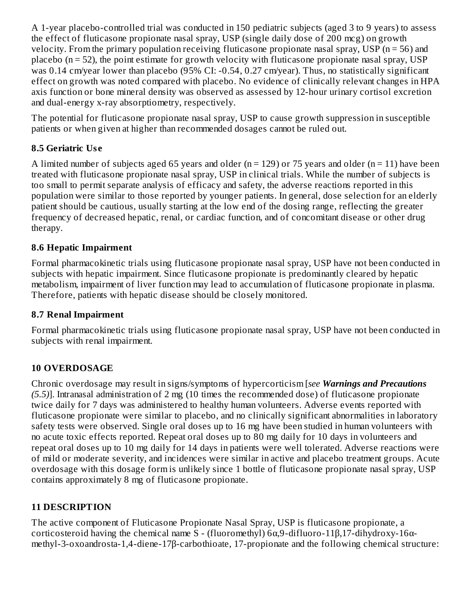A 1-year placebo-controlled trial was conducted in 150 pediatric subjects (aged 3 to 9 years) to assess the effect of fluticasone propionate nasal spray, USP (single daily dose of 200 mcg) on growth velocity. From the primary population receiving fluticasone propionate nasal spray, USP ( $n = 56$ ) and placebo ( $n = 52$ ), the point estimate for growth velocity with fluticasone propionate nasal spray, USP was 0.14 cm/year lower than placebo (95% CI: -0.54, 0.27 cm/year). Thus, no statistically significant effect on growth was noted compared with placebo. No evidence of clinically relevant changes in HPA axis function or bone mineral density was observed as assessed by 12-hour urinary cortisol excretion and dual-energy x-ray absorptiometry, respectively.

The potential for fluticasone propionate nasal spray, USP to cause growth suppression in susceptible patients or when given at higher than recommended dosages cannot be ruled out.

## **8.5 Geriatric Us e**

A limited number of subjects aged 65 years and older ( $n = 129$ ) or 75 years and older ( $n = 11$ ) have been treated with fluticasone propionate nasal spray, USP in clinical trials. While the number of subjects is too small to permit separate analysis of efficacy and safety, the adverse reactions reported in this population were similar to those reported by younger patients. In general, dose selection for an elderly patient should be cautious, usually starting at the low end of the dosing range, reflecting the greater frequency of decreased hepatic, renal, or cardiac function, and of concomitant disease or other drug therapy.

### **8.6 Hepatic Impairment**

Formal pharmacokinetic trials using fluticasone propionate nasal spray, USP have not been conducted in subjects with hepatic impairment. Since fluticasone propionate is predominantly cleared by hepatic metabolism, impairment of liver function may lead to accumulation of fluticasone propionate in plasma. Therefore, patients with hepatic disease should be closely monitored.

## **8.7 Renal Impairment**

Formal pharmacokinetic trials using fluticasone propionate nasal spray, USP have not been conducted in subjects with renal impairment.

## **10 OVERDOSAGE**

Chronic overdosage may result in signs/symptoms of hypercorticism [*see Warnings and Precautions (5.5)*]. Intranasal administration of 2 mg (10 times the recommended dose) of fluticasone propionate twice daily for 7 days was administered to healthy human volunteers. Adverse events reported with fluticasone propionate were similar to placebo, and no clinically significant abnormalities in laboratory safety tests were observed. Single oral doses up to 16 mg have been studied in human volunteers with no acute toxic effects reported. Repeat oral doses up to 80 mg daily for 10 days in volunteers and repeat oral doses up to 10 mg daily for 14 days in patients were well tolerated. Adverse reactions were of mild or moderate severity, and incidences were similar in active and placebo treatment groups. Acute overdosage with this dosage form is unlikely since 1 bottle of fluticasone propionate nasal spray, USP contains approximately 8 mg of fluticasone propionate.

## **11 DESCRIPTION**

The active component of Fluticasone Propionate Nasal Spray, USP is fluticasone propionate, a corticosteroid having the chemical name S - (fluoromethyl) 6α,9-difluoro-11β,17-dihydroxy-16αmethyl-3-oxoandrosta-1,4-diene-17β-carbothioate, 17-propionate and the following chemical structure: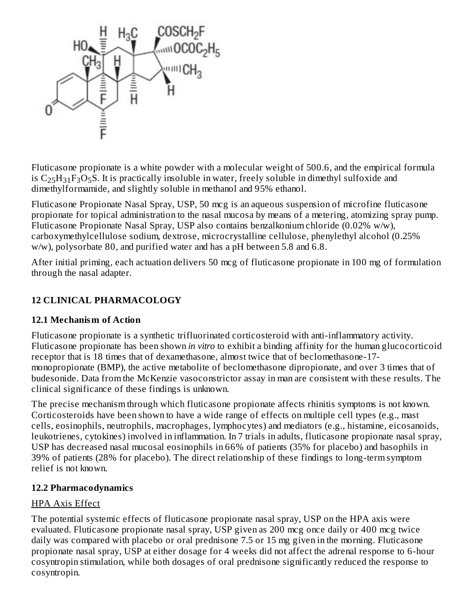

Fluticasone propionate is a white powder with a molecular weight of 500.6, and the empirical formula is  $\rm{C_{25}H_{31}F_{3}O_{5}S}$ . It is practically insoluble in water, freely soluble in dimethyl sulfoxide and dimethylformamide, and slightly soluble in methanol and 95% ethanol.

Fluticasone Propionate Nasal Spray, USP, 50 mcg is an aqueous suspension of microfine fluticasone propionate for topical administration to the nasal mucosa by means of a metering, atomizing spray pump. Fluticasone Propionate Nasal Spray, USP also contains benzalkonium chloride (0.02% w/w), carboxymethylcellulose sodium, dextrose, microcrystalline cellulose, phenylethyl alcohol (0.25% w/w), polysorbate 80, and purified water and has a pH between 5.8 and 6.8.

After initial priming, each actuation delivers 50 mcg of fluticasone propionate in 100 mg of formulation through the nasal adapter.

## **12 CLINICAL PHARMACOLOGY**

#### **12.1 Mechanism of Action**

Fluticasone propionate is a synthetic trifluorinated corticosteroid with anti-inflammatory activity. Fluticasone propionate has been shown *in vitro* to exhibit a binding affinity for the human glucocorticoid receptor that is 18 times that of dexamethasone, almost twice that of beclomethasone-17 monopropionate (BMP), the active metabolite of beclomethasone dipropionate, and over 3 times that of budesonide. Data from the McKenzie vasoconstrictor assay in man are consistent with these results. The clinical significance of these findings is unknown.

The precise mechanism through which fluticasone propionate affects rhinitis symptoms is not known. Corticosteroids have been shown to have a wide range of effects on multiple cell types (e.g., mast cells, eosinophils, neutrophils, macrophages, lymphocytes) and mediators (e.g., histamine, eicosanoids, leukotrienes, cytokines) involved in inflammation. In 7 trials in adults, fluticasone propionate nasal spray, USP has decreased nasal mucosal eosinophils in 66% of patients (35% for placebo) and basophils in 39% of patients (28% for placebo). The direct relationship of these findings to long-term symptom relief is not known.

## **12.2 Pharmacodynamics**

## HPA Axis Effect

The potential systemic effects of fluticasone propionate nasal spray, USP on the HPA axis were evaluated. Fluticasone propionate nasal spray, USP given as 200 mcg once daily or 400 mcg twice daily was compared with placebo or oral prednisone 7.5 or 15 mg given in the morning. Fluticasone propionate nasal spray, USP at either dosage for 4 weeks did not affect the adrenal response to 6-hour cosyntropin stimulation, while both dosages of oral prednisone significantly reduced the response to cosyntropin.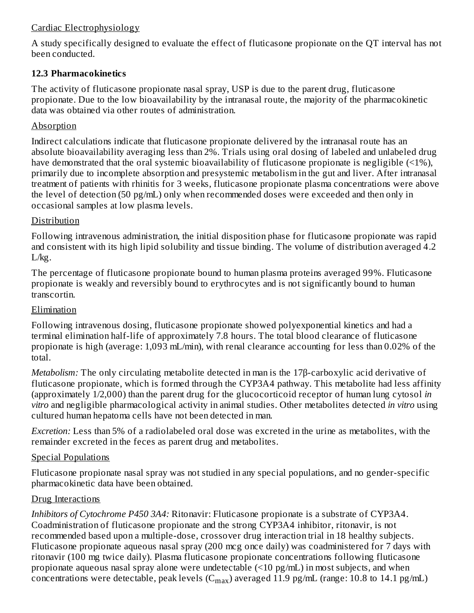### Cardiac Electrophysiology

A study specifically designed to evaluate the effect of fluticasone propionate on the QT interval has not been conducted.

## **12.3 Pharmacokinetics**

The activity of fluticasone propionate nasal spray, USP is due to the parent drug, fluticasone propionate. Due to the low bioavailability by the intranasal route, the majority of the pharmacokinetic data was obtained via other routes of administration.

### Absorption

Indirect calculations indicate that fluticasone propionate delivered by the intranasal route has an absolute bioavailability averaging less than 2%. Trials using oral dosing of labeled and unlabeled drug have demonstrated that the oral systemic bioavailability of fluticasone propionate is negligible (<1%), primarily due to incomplete absorption and presystemic metabolism in the gut and liver. After intranasal treatment of patients with rhinitis for 3 weeks, fluticasone propionate plasma concentrations were above the level of detection (50 pg/mL) only when recommended doses were exceeded and then only in occasional samples at low plasma levels.

### Distribution

Following intravenous administration, the initial disposition phase for fluticasone propionate was rapid and consistent with its high lipid solubility and tissue binding. The volume of distribution averaged 4.2 L/kg.

The percentage of fluticasone propionate bound to human plasma proteins averaged 99%. Fluticasone propionate is weakly and reversibly bound to erythrocytes and is not significantly bound to human transcortin.

#### Elimination

Following intravenous dosing, fluticasone propionate showed polyexponential kinetics and had a terminal elimination half-life of approximately 7.8 hours. The total blood clearance of fluticasone propionate is high (average: 1,093 mL/min), with renal clearance accounting for less than 0.02% of the total.

*Metabolism:* The only circulating metabolite detected in man is the 17β-carboxylic acid derivative of fluticasone propionate, which is formed through the CYP3A4 pathway. This metabolite had less affinity (approximately 1/2,000) than the parent drug for the glucocorticoid receptor of human lung cytosol *in vitro* and negligible pharmacological activity in animal studies. Other metabolites detected *in vitro* using cultured human hepatoma cells have not been detected in man.

*Excretion:* Less than 5% of a radiolabeled oral dose was excreted in the urine as metabolites, with the remainder excreted in the feces as parent drug and metabolites.

#### Special Populations

Fluticasone propionate nasal spray was not studied in any special populations, and no gender-specific pharmacokinetic data have been obtained.

#### Drug Interactions

*Inhibitors of Cytochrome P450 3A4:* Ritonavir: Fluticasone propionate is a substrate of CYP3A4. Coadministration of fluticasone propionate and the strong CYP3A4 inhibitor, ritonavir, is not recommended based upon a multiple-dose, crossover drug interaction trial in 18 healthy subjects. Fluticasone propionate aqueous nasal spray (200 mcg once daily) was coadministered for 7 days with ritonavir (100 mg twice daily). Plasma fluticasone propionate concentrations following fluticasone propionate aqueous nasal spray alone were undetectable (<10 pg/mL) in most subjects, and when concentrations were detectable, peak levels  $(C_{\text{max}})$  averaged 11.9 pg/mL (range: 10.8 to 14.1 pg/mL)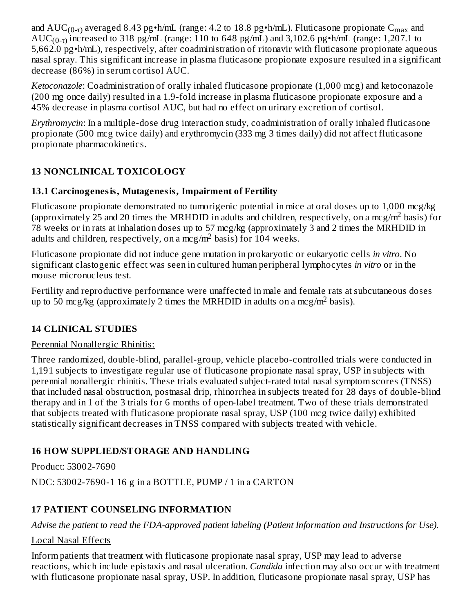and  $AUC_{(0-r)}$  averaged 8.43 pg•h/mL (range: 4.2 to 18.8 pg•h/mL). Fluticasone propionate  $C_{\text{max}}$  and  $\mathrm{AUC_{(0-t)}}$  increased to 318 pg/mL (range: 110 to 648 pg/mL) and 3,102.6 pg•h/mL (range: 1,207.1 to 5,662.0  $p\mathbf{g}\cdot\mathbf{h}/m$ L), respectively, after coadministration of ritonavir with fluticasone propionate aqueous nasal spray. This significant increase in plasma fluticasone propionate exposure resulted in a significant decrease (86%) in serum cortisol AUC. ...<sub>...</sub>.  $_{(0\text{-}t)}$  averaged 8.43 pg•n/mL (range: 4.2 to 18.8 pg•n/mL). Fluticasone propionate  $\mathsf{C}_{\max}$ 

*Ketoconazole*: Coadministration of orally inhaled fluticasone propionate (1,000 mcg) and ketoconazole (200 mg once daily) resulted in a 1.9-fold increase in plasma fluticasone propionate exposure and a 45% decrease in plasma cortisol AUC, but had no effect on urinary excretion of cortisol.

*Erythromycin*: In a multiple-dose drug interaction study, coadministration of orally inhaled fluticasone propionate (500 mcg twice daily) and erythromycin (333 mg 3 times daily) did not affect fluticasone propionate pharmacokinetics.

## **13 NONCLINICAL TOXICOLOGY**

## **13.1 Carcinogenesis, Mutagenesis, Impairment of Fertility**

Fluticasone propionate demonstrated no tumorigenic potential in mice at oral doses up to 1,000 mcg/kg (approximately 25 and 20 times the MRHDID in adults and children, respectively, on a mcg/m<sup>2</sup> basis) for 78 weeks or in rats at inhalation doses up to 57 mcg/kg (approximately 3 and 2 times the MRHDID in adults and children, respectively, on a mcg/m<sup>2</sup> basis) for  $104$  weeks.

Fluticasone propionate did not induce gene mutation in prokaryotic or eukaryotic cells *in vitro*. No significant clastogenic effect was seen in cultured human peripheral lymphocytes *in vitro* or in the mouse micronucleus test.

Fertility and reproductive performance were unaffected in male and female rats at subcutaneous doses up to 50 mcg/kg (approximately 2 times the MRHDID in adults on a mcg/m<sup>2</sup> basis).

## **14 CLINICAL STUDIES**

## Perennial Nonallergic Rhinitis:

Three randomized, double-blind, parallel-group, vehicle placebo-controlled trials were conducted in 1,191 subjects to investigate regular use of fluticasone propionate nasal spray, USP in subjects with perennial nonallergic rhinitis. These trials evaluated subject-rated total nasal symptom scores (TNSS) that included nasal obstruction, postnasal drip, rhinorrhea in subjects treated for 28 days of double-blind therapy and in 1 of the 3 trials for 6 months of open-label treatment. Two of these trials demonstrated that subjects treated with fluticasone propionate nasal spray, USP (100 mcg twice daily) exhibited statistically significant decreases in TNSS compared with subjects treated with vehicle.

## **16 HOW SUPPLIED/STORAGE AND HANDLING**

Product: 53002-7690

NDC: 53002-7690-1 16 g in a BOTTLE, PUMP / 1 in a CARTON

## **17 PATIENT COUNSELING INFORMATION**

*Advise the patient to read the FDA-approved patient labeling (Patient Information and Instructions for Use).*

## Local Nasal Effects

Inform patients that treatment with fluticasone propionate nasal spray, USP may lead to adverse reactions, which include epistaxis and nasal ulceration. *Candida* infection may also occur with treatment with fluticasone propionate nasal spray, USP. In addition, fluticasone propionate nasal spray, USP has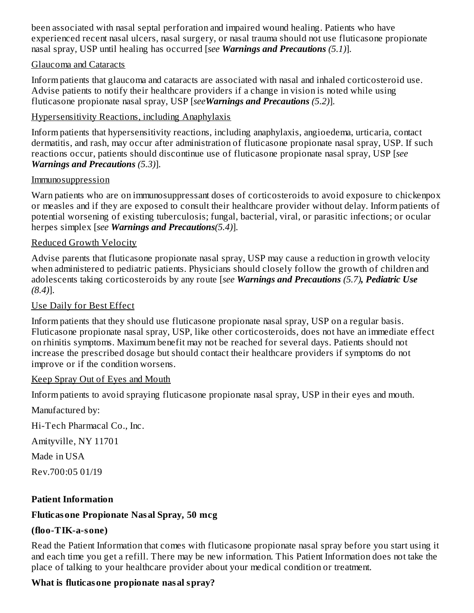been associated with nasal septal perforation and impaired wound healing. Patients who have experienced recent nasal ulcers, nasal surgery, or nasal trauma should not use fluticasone propionate nasal spray, USP until healing has occurred [*see Warnings and Precautions (5.1)*].

### Glaucoma and Cataracts

Inform patients that glaucoma and cataracts are associated with nasal and inhaled corticosteroid use. Advise patients to notify their healthcare providers if a change in vision is noted while using fluticasone propionate nasal spray, USP [*seeWarnings and Precautions (5.2)*].

### Hypersensitivity Reactions, including Anaphylaxis

Inform patients that hypersensitivity reactions, including anaphylaxis, angioedema, urticaria, contact dermatitis, and rash, may occur after administration of fluticasone propionate nasal spray, USP. If such reactions occur, patients should discontinue use of fluticasone propionate nasal spray, USP [*see Warnings and Precautions (5.3)*].

#### Immunosuppression

Warn patients who are on immunosuppressant doses of corticosteroids to avoid exposure to chickenpox or measles and if they are exposed to consult their healthcare provider without delay. Inform patients of potential worsening of existing tuberculosis; fungal, bacterial, viral, or parasitic infections; or ocular herpes simplex [*see Warnings and Precautions(5.4)*].

#### Reduced Growth Velocity

Advise parents that fluticasone propionate nasal spray, USP may cause a reduction in growth velocity when administered to pediatric patients. Physicians should closely follow the growth of children and adolescents taking corticosteroids by any route [*see Warnings and Precautions (5.7), Pediatric Use (8.4)*].

#### Use Daily for Best Effect

Inform patients that they should use fluticasone propionate nasal spray, USP on a regular basis. Fluticasone propionate nasal spray, USP, like other corticosteroids, does not have an immediate effect on rhinitis symptoms. Maximum benefit may not be reached for several days. Patients should not increase the prescribed dosage but should contact their healthcare providers if symptoms do not improve or if the condition worsens.

#### Keep Spray Out of Eyes and Mouth

Inform patients to avoid spraying fluticasone propionate nasal spray, USP in their eyes and mouth.

Manufactured by:

Hi-Tech Pharmacal Co., Inc.

Amityville, NY 11701

Made in USA

Rev.700:05 01/19

## **Patient Information**

## **Fluticasone Propionate Nasal Spray, 50 mcg**

## **(floo-TIK-a-sone)**

Read the Patient Information that comes with fluticasone propionate nasal spray before you start using it and each time you get a refill. There may be new information. This Patient Information does not take the place of talking to your healthcare provider about your medical condition or treatment.

## **What is fluticasone propionate nasal spray?**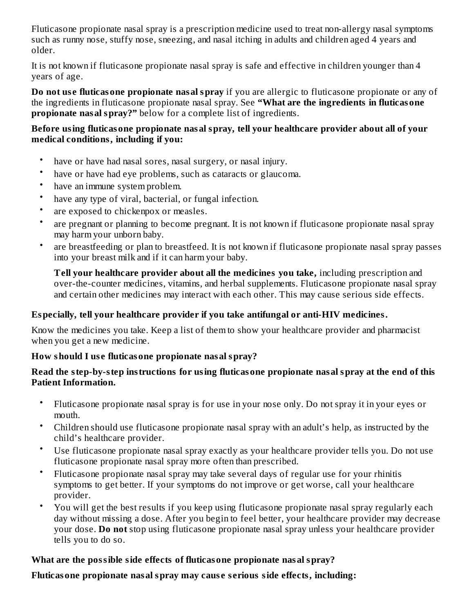Fluticasone propionate nasal spray is a prescription medicine used to treat non-allergy nasal symptoms such as runny nose, stuffy nose, sneezing, and nasal itching in adults and children aged 4 years and older.

It is not known if fluticasone propionate nasal spray is safe and effective in children younger than 4 years of age.

**Do not us e fluticasone propionate nasal spray** if you are allergic to fluticasone propionate or any of the ingredients in fluticasone propionate nasal spray. See **"What are the ingredients in fluticasone propionate nasal spray?"** below for a complete list of ingredients.

#### **Before using fluticasone propionate nasal spray, tell your healthcare provider about all of your medical conditions, including if you:**

- have or have had nasal sores, nasal surgery, or nasal injury.
- have or have had eye problems, such as cataracts or glaucoma.
- have an immune system problem.
- have any type of viral, bacterial, or fungal infection.
- are exposed to chickenpox or measles.
- are pregnant or planning to become pregnant. It is not known if fluticasone propionate nasal spray may harm your unborn baby.
- are breastfeeding or plan to breastfeed. It is not known if fluticasone propionate nasal spray passes into your breast milk and if it can harm your baby.

**Tell your healthcare provider about all the medicines you take,** including prescription and over-the-counter medicines, vitamins, and herbal supplements. Fluticasone propionate nasal spray and certain other medicines may interact with each other. This may cause serious side effects.

## **Especially, tell your healthcare provider if you take antifungal or anti-HIV medicines.**

Know the medicines you take. Keep a list of them to show your healthcare provider and pharmacist when you get a new medicine.

#### **How should I us e fluticasone propionate nasal spray?**

#### **Read the step-by-step instructions for using fluticasone propionate nasal spray at the end of this Patient Information.**

- Fluticasone propionate nasal spray is for use in your nose only. Do not spray it in your eyes or mouth.
- Children should use fluticasone propionate nasal spray with an adult's help, as instructed by the child's healthcare provider.
- Use fluticasone propionate nasal spray exactly as your healthcare provider tells you. Do not use fluticasone propionate nasal spray more often than prescribed.
- Fluticasone propionate nasal spray may take several days of regular use for your rhinitis symptoms to get better. If your symptoms do not improve or get worse, call your healthcare provider.
- You will get the best results if you keep using fluticasone propionate nasal spray regularly each day without missing a dose. After you begin to feel better, your healthcare provider may decrease your dose. **Do not** stop using fluticasone propionate nasal spray unless your healthcare provider tells you to do so.

## **What are the possible side effects of fluticasone propionate nasal spray?**

## **Fluticasone propionate nasal spray may caus e s erious side effects, including:**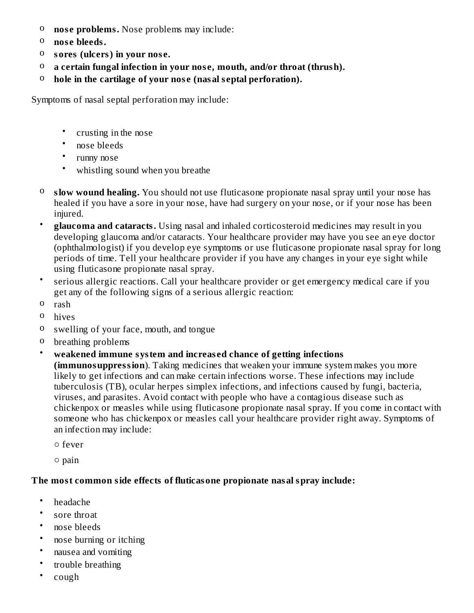- o **nos e problems.** Nose problems may include:
- o **nos e bleeds.**
- o **sores (ulcers) in your nos e.**
- o **a certain fungal infection in your nos e, mouth, and/or throat (thrush).**
- o **hole in the cartilage of your nos e (nasal s eptal perforation).**

Symptoms of nasal septal perforation may include:

- crusting in the nose
- nose bleeds
- runny nose
- whistling sound when you breathe
- o **slow wound healing.** You should not use fluticasone propionate nasal spray until your nose has healed if you have a sore in your nose, have had surgery on your nose, or if your nose has been injured.
- **glaucoma and cataracts.** Using nasal and inhaled corticosteroid medicines may result in you developing glaucoma and/or cataracts. Your healthcare provider may have you see an eye doctor (ophthalmologist) if you develop eye symptoms or use fluticasone propionate nasal spray for long periods of time. Tell your healthcare provider if you have any changes in your eye sight while using fluticasone propionate nasal spray.
- serious allergic reactions. Call your healthcare provider or get emergency medical care if you get any of the following signs of a serious allergic reaction:
- o rash
- o hives
- o swelling of your face, mouth, and tongue
- o breathing problems
- **weakened immune system and increas ed chance of getting infections (immunosuppression**). Taking medicines that weaken your immune system makes you more likely to get infections and can make certain infections worse. These infections may include tuberculosis (TB), ocular herpes simplex infections, and infections caused by fungi, bacteria, viruses, and parasites. Avoid contact with people who have a contagious disease such as chickenpox or measles while using fluticasone propionate nasal spray. If you come in contact with someone who has chickenpox or measles call your healthcare provider right away. Symptoms of an infection may include:
	- fever

○ pain

#### **The most common side effects of fluticasone propionate nasal spray include:**

- headache
- sore throat
- nose bleeds
- nose burning or itching
- nausea and vomiting
- trouble breathing
- cough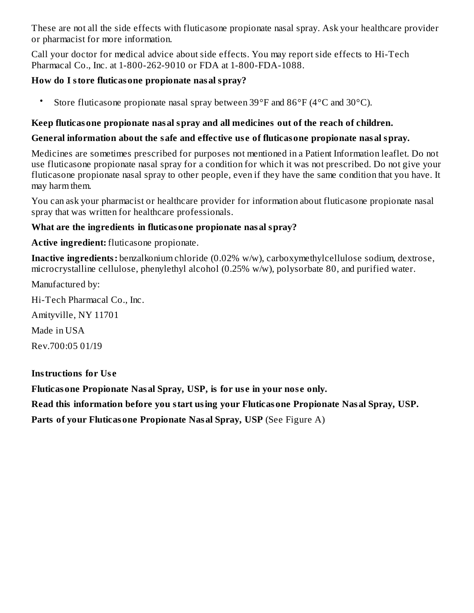These are not all the side effects with fluticasone propionate nasal spray. Ask your healthcare provider or pharmacist for more information.

Call your doctor for medical advice about side effects. You may report side effects to Hi-Tech Pharmacal Co., Inc. at 1-800-262-9010 or FDA at 1-800-FDA-1088.

## **How do I store fluticasone propionate nasal spray?**

• Store fluticasone propionate nasal spray between 39°F and 86°F (4°C and 30°C).

## **Keep fluticasone propionate nasal spray and all medicines out of the reach of children.**

## **General information about the safe and effective us e of fluticasone propionate nasal spray.**

Medicines are sometimes prescribed for purposes not mentioned in a Patient Information leaflet. Do not use fluticasone propionate nasal spray for a condition for which it was not prescribed. Do not give your fluticasone propionate nasal spray to other people, even if they have the same condition that you have. It may harm them.

You can ask your pharmacist or healthcare provider for information about fluticasone propionate nasal spray that was written for healthcare professionals.

### **What are the ingredients in fluticasone propionate nasal spray?**

**Active ingredient:** fluticasone propionate.

**Inactive ingredients:** benzalkonium chloride (0.02% w/w), carboxymethylcellulose sodium, dextrose, microcrystalline cellulose, phenylethyl alcohol (0.25% w/w), polysorbate 80, and purified water.

Manufactured by:

Hi-Tech Pharmacal Co., Inc. Amityville, NY 11701

Made in USA

Rev.700:05 01/19

**Instructions for Us e**

**Fluticasone Propionate Nasal Spray, USP, is for us e in your nos e only.**

**Read this information before you start using your Fluticasone Propionate Nasal Spray, USP.**

**Parts of your Fluticasone Propionate Nasal Spray, USP** (See Figure A)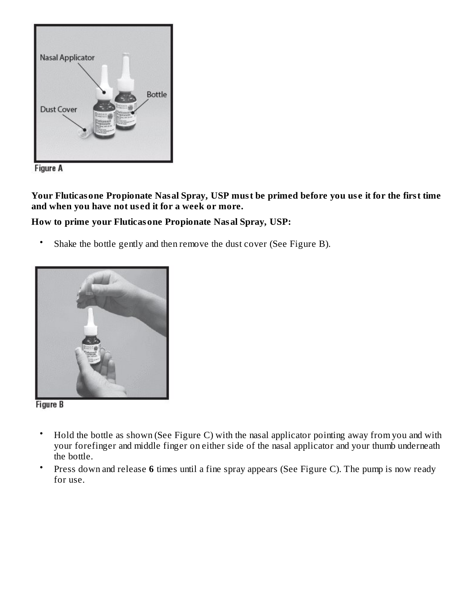

Figure A

**Your Fluticasone Propionate Nasal Spray, USP must be primed before you us e it for the first time and when you have not us ed it for a week or more.**

#### **How to prime your Fluticasone Propionate Nasal Spray, USP:**

• Shake the bottle gently and then remove the dust cover (See Figure B).



**Figure B** 

- Hold the bottle as shown (See Figure C) with the nasal applicator pointing away from you and with your forefinger and middle finger on either side of the nasal applicator and your thumb underneath the bottle.
- Press down and release **6** times until a fine spray appears (See Figure C). The pump is now ready for use.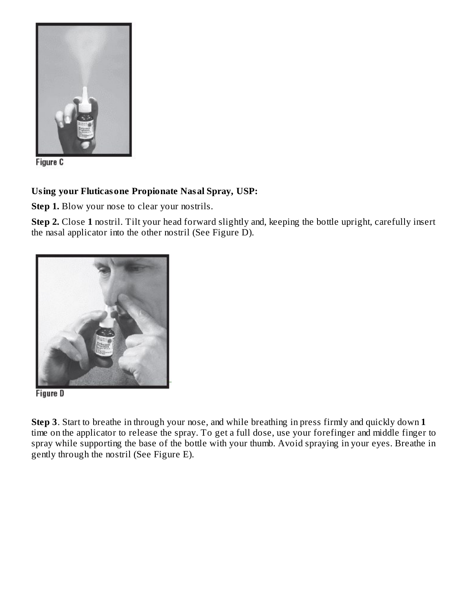

Figure C

## **Using your Fluticasone Propionate Nasal Spray, USP:**

**Step 1.** Blow your nose to clear your nostrils.

**Step 2.** Close **1** nostril. Tilt your head forward slightly and, keeping the bottle upright, carefully insert the nasal applicator into the other nostril (See Figure D).



**Figure D** 

**Step 3**. Start to breathe in through your nose, and while breathing in press firmly and quickly down **1** time on the applicator to release the spray. To get a full dose, use your forefinger and middle finger to spray while supporting the base of the bottle with your thumb. Avoid spraying in your eyes. Breathe in gently through the nostril (See Figure E).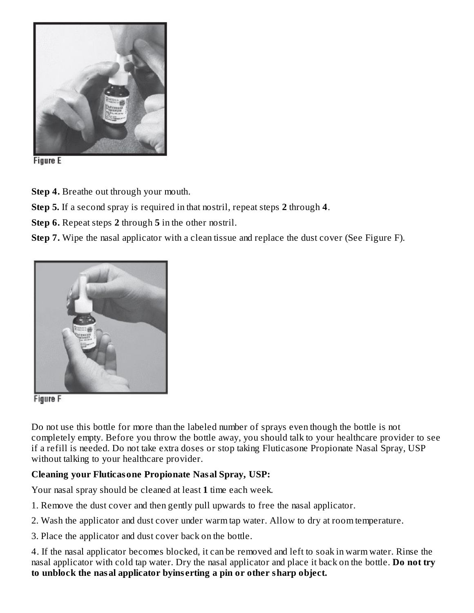

**Figure E** 

**Step 4.** Breathe out through your mouth.

**Step 5.** If a second spray is required in that nostril, repeat steps **2** through **4**.

**Step 6.** Repeat steps **2** through **5** in the other nostril.

**Step 7.** Wipe the nasal applicator with a clean tissue and replace the dust cover (See Figure F).



Figure F

Do not use this bottle for more than the labeled number of sprays even though the bottle is not completely empty. Before you throw the bottle away, you should talk to your healthcare provider to see if a refill is needed. Do not take extra doses or stop taking Fluticasone Propionate Nasal Spray, USP without talking to your healthcare provider.

## **Cleaning your Fluticasone Propionate Nasal Spray, USP:**

Your nasal spray should be cleaned at least **1** time each week.

- 1. Remove the dust cover and then gently pull upwards to free the nasal applicator.
- 2. Wash the applicator and dust cover under warm tap water. Allow to dry at room temperature.

3. Place the applicator and dust cover back on the bottle.

4. If the nasal applicator becomes blocked, it can be removed and left to soak in warm water. Rinse the nasal applicator with cold tap water. Dry the nasal applicator and place it back on the bottle. **Do not try to unblock the nasal applicator byins erting a pin or other sharp object.**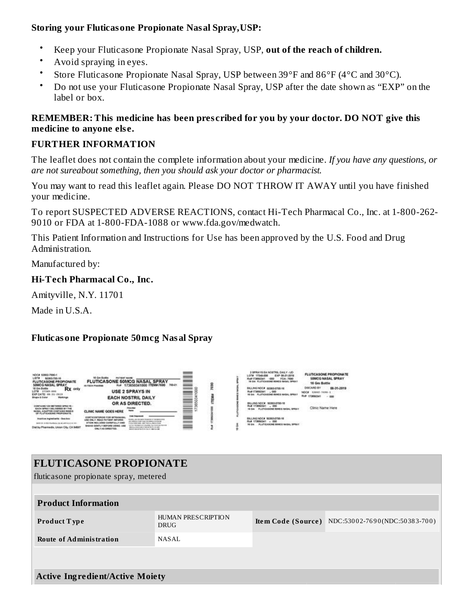#### **Storing your Fluticasone Propionate Nasal Spray,USP:**

- Keep your Fluticasone Propionate Nasal Spray, USP, **out of the reach of children.**
- Avoid spraying in eyes.
- Store Fluticasone Propionate Nasal Spray, USP between 39°F and 86°F (4°C and 30°C).
- Do not use your Fluticasone Propionate Nasal Spray, USP after the date shown as "EXP" on the label or box.

#### **REMEMBER: This medicine has been pres cribed for you by your doctor. DO NOT give this medicine to anyone els e.**

#### **FURTHER INFORMATION**

The leaflet does not contain the complete information about your medicine. *If you have any questions, or are not sureabout something, then you should ask your doctor or pharmacist.*

You may want to read this leaflet again. Please DO NOT THROW IT AWAY until you have finished your medicine.

To report SUSPECTED ADVERSE REACTIONS, contact Hi-Tech Pharmacal Co., Inc. at 1-800-262- 9010 or FDA at 1-800-FDA-1088 or www.fda.gov/medwatch.

This Patient Information and Instructions for Use has been approved by the U.S. Food and Drug Administration.

Manufactured by:

#### **Hi-Tech Pharmacal Co., Inc.**

Amityville, N.Y. 11701

Made in U.S.A.

#### **Fluticasone Propionate 50mcg Nasal Spray**

| NDC# 53002/986-1<br>LIETS.<br>50063-700-18<br>FLUTICASONE PROPIONATE<br>SOMICIG NASAL SPRAY<br>16 Gm Bottle<br>Rx only<br>17149-008<br><b>EXPLOATE:</b><br>-<br><b>Kuasa &amp; Galax</b> | 16 Gm Battle<br><b><i>PATIONT RAINS</i></b><br>FLUTICASONE 50MCG NASAL SPRAY<br>For 173650341000 ITEM#7690<br>769-01<br>HI-TECH PHASING<br>USE 2 SPRAYS IN<br><b>EACH NOSTRIL DAILY</b> | 8 | 2 SPRAYS EA NOSTRIL DAILY - UD<br>EXP 00-51-301<br><b>LOTE</b><br>FDA  7680<br>14 Oil FLUTICATOME ROMOG-MASAL SPAK<br>BELING NOCK 50003-8700-56<br><b>Rus LEMBON 1</b><br>$-000$<br>18 Oct. FLUTICASTME SOAKCE NASAL SPRA | FLUTICASONE PROPIONATE<br>SIMICG NASAL SPRAY<br>16 Gm Bottle<br>DISCARD BY<br>06-31-2019<br>NDC# 53092-3698-1<br>Raf : 17566/341<br><b>SIDD</b> |
|------------------------------------------------------------------------------------------------------------------------------------------------------------------------------------------|-----------------------------------------------------------------------------------------------------------------------------------------------------------------------------------------|---|---------------------------------------------------------------------------------------------------------------------------------------------------------------------------------------------------------------------------|-------------------------------------------------------------------------------------------------------------------------------------------------|
| <b>GALLIN MARAIN SIGNAL AND MAIL BY THE</b><br>MASAL AGAPTER CONTAINS                                                                                                                    | OR AS DIRECTED.<br><b>Processing</b><br><b>Sales</b><br>CLINIC NAME GOES HERE                                                                                                           | ⋍ | BILLING NOCK 60003-0700-18<br><b>Book 1736501641</b><br>$-1000$<br>FLUTICARDINE BOARDO NASAL SPRAY                                                                                                                        | Clinic Name Here                                                                                                                                |
| Inautica ingrediants - See her<br>Traff by Pharmadia, Linion City, CA 94831                                                                                                              | SHEV: READ PATIENT INFORM<br>A FION INCLUDED CAREFULLY AND<br>ONLY AS SWEETER.<br><b>BARUELAND &amp; FALL FOR THE AVE LABLE FOR ARR</b>                                                 |   | BILLING NOCK 50353 0700-15<br><b>Rya EPSHANAS</b><br>$-200$<br>FLUTCASONE BOARD NASAL SFRAY<br><b>16 Gras</b>                                                                                                             |                                                                                                                                                 |

| <b>FLUTICASONE PROPIONATE</b>          |                                   |  |                                                  |  |
|----------------------------------------|-----------------------------------|--|--------------------------------------------------|--|
| fluticasone propionate spray, metered  |                                   |  |                                                  |  |
|                                        |                                   |  |                                                  |  |
| <b>Product Information</b>             |                                   |  |                                                  |  |
| <b>Product Type</b>                    | HUMAN PRESCRIPTION<br><b>DRUG</b> |  | Item Code (Source) NDC:53002-7690(NDC:50383-700) |  |
| <b>Route of Administration</b>         | NASAL                             |  |                                                  |  |
|                                        |                                   |  |                                                  |  |
|                                        |                                   |  |                                                  |  |
| <b>Active Ingredient/Active Moiety</b> |                                   |  |                                                  |  |